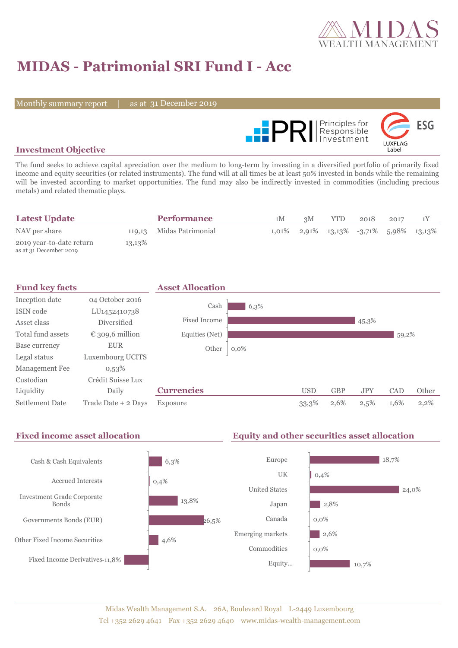

# **MIDAS - Patrimonial SRI Fund I - Acc**

Monthly summary report

31 December 2019



#### **Investment Objective**

The fund seeks to achieve capital apreciation over the medium to long-term by investing in a diversified portfolio of primarily fixed income and equity securities (or related instruments). The fund will at all times be at least 50% invested in bonds while the remaining will be invested according to market opportunities. The fund may also be indirectly invested in commodities (including precious metals) and related thematic plays.

| <b>Latest Update</b>                               |        | <b>Performance</b>       | 1M | 3M | YTD.                                           | 2018 | 2017 |  |
|----------------------------------------------------|--------|--------------------------|----|----|------------------------------------------------|------|------|--|
| NAV per share                                      |        | 119,13 Midas Patrimonial |    |    | $1,01\%$ 2,91\% 13,13\% -3,71\% 5,98\% 13,13\% |      |      |  |
| 2019 year-to-date return<br>as at 31 December 2019 | 13,13% |                          |    |    |                                                |      |      |  |

| <b>Fund key facts</b> |                     | <b>Asset Allocation</b> |         |            |            |            |            |         |
|-----------------------|---------------------|-------------------------|---------|------------|------------|------------|------------|---------|
| Inception date        | 04 October 2016     |                         |         |            |            |            |            |         |
| ISIN code             | LU1452410738        | Cash                    | 6,3%    |            |            |            |            |         |
| Asset class           | Diversified         | <b>Fixed Income</b>     |         |            |            | 45,3%      |            |         |
| Total fund assets     | € 309,6 million     | Equities (Net)          |         |            |            |            | 59,2%      |         |
| Base currency         | <b>EUR</b>          | Other                   | $0,0\%$ |            |            |            |            |         |
| Legal status          | Luxembourg UCITS    |                         |         |            |            |            |            |         |
| Management Fee        | $0,53\%$            |                         |         |            |            |            |            |         |
| Custodian             | Crédit Suisse Lux   |                         |         |            |            |            |            |         |
| Liquidity             | Daily               | <b>Currencies</b>       |         | <b>USD</b> | <b>GBP</b> | <b>JPY</b> | <b>CAD</b> | Other   |
| Settlement Date       | Trade Date + 2 Days | Exposure                |         | 33,3%      | 2,6%       | 2,5%       | 1,6%       | $2,2\%$ |

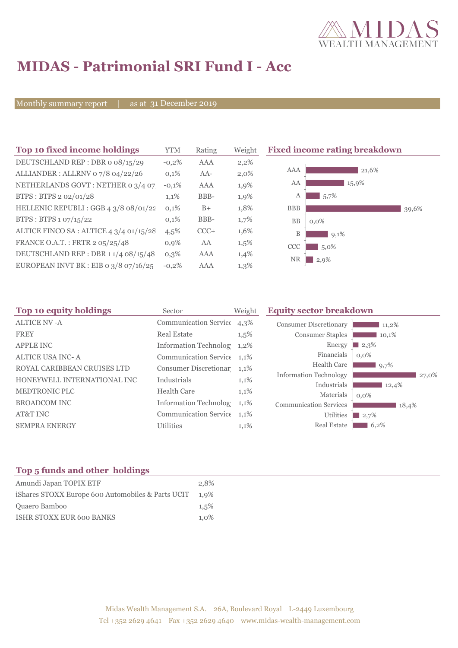

# **MIDAS - Patrimonial SRI Fund I - Acc**

Monthly summary report

31 December 2019

| Top 10 fixed income holdings            | YTM     | Rating | Weigh   |
|-----------------------------------------|---------|--------|---------|
| DEUTSCHLAND REP: DBR o 08/15/29         | $-0.2%$ | AAA    | 2,2%    |
| ALLIANDER: ALLRNV 07/8 04/22/26         | 0,1%    | $AA-$  | $2,0\%$ |
| NETHERLANDS GOVT: NETHER 0 3/4 07       | $-0.1%$ | AAA    | 1,9%    |
| BTPS: BTPS 2 02/01/28                   | 1,1%    | BBB-   | 1,9%    |
| HELLENIC REPUBLI : GGB 4 3/8 08/01/22   | 0,1%    | $B+$   | 1,8%    |
| BTPS: BTPS 1 07/15/22                   | 0,1%    | BBB-   | 1,7%    |
| ALTICE FINCO SA : ALTICE 4 3/4 01/15/28 | 4,5%    | $CCC+$ | 1,6%    |
| FRANCE O.A.T.: FRTR 2 05/25/48          | 0.9%    | AA     | 1,5%    |
| DEUTSCHLAND REP : DBR 1 1/4 08/15/48    | 0.3%    | AAA    | 1,4%    |
| EUROPEAN INVT BK : EIB o $3/8$ 07/16/25 | $-0.2%$ | AAA    | 1,3%    |

**The 10 fixed income rating breakdown** 



| Top 10 equity holdings      | Sector                       | Weight  | <b>Equity sector breakdown</b> |                  |  |  |  |
|-----------------------------|------------------------------|---------|--------------------------------|------------------|--|--|--|
| <b>ALTICE NV-A</b>          | <b>Communication Service</b> | 4,3%    | <b>Consumer Discretionary</b>  | 11,2%            |  |  |  |
| <b>FREY</b>                 | <b>Real Estate</b>           | $1,5\%$ | <b>Consumer Staples</b>        | 10,1%            |  |  |  |
| <b>APPLE INC</b>            | Information Technolog        | $1,2\%$ | Energy                         | 2,3%             |  |  |  |
| <b>ALTICE USA INC-A</b>     | Communication Service 1,1%   |         | Financials                     | $0.0\%$          |  |  |  |
| ROYAL CARIBBEAN CRUISES LTD | Consumer Discretionar 1,1%   |         | <b>Health Care</b>             | 9,7%             |  |  |  |
| HONEYWELL INTERNATIONAL INC | Industrials                  | 1,1%    | <b>Information Technology</b>  | 27,0%            |  |  |  |
| <b>MEDTRONIC PLC</b>        | <b>Health Care</b>           | 1,1%    | Industrials<br>Materials       | 12,4%            |  |  |  |
| <b>BROADCOM INC</b>         | <b>Information Technolog</b> | $1,1\%$ | <b>Communication Services</b>  | $0.0\%$<br>18,4% |  |  |  |
| AT&T INC                    | Communication Service 1,1%   |         | <b>Utilities</b>               | 2,7%             |  |  |  |
| <b>SEMPRA ENERGY</b>        | <b>Utilities</b>             | 1,1%    | <b>Real Estate</b>             | 6,2%             |  |  |  |
|                             |                              |         |                                |                  |  |  |  |

### **Top 5 funds and other holdings**

| Amundi Japan TOPIX ETF                            | 2.8%    |
|---------------------------------------------------|---------|
| iShares STOXX Europe 600 Automobiles & Parts UCIT | $1.9\%$ |
| Quaero Bamboo                                     | 1.5%    |
| <b>ISHR STOXX EUR 600 BANKS</b>                   | 1,0%    |